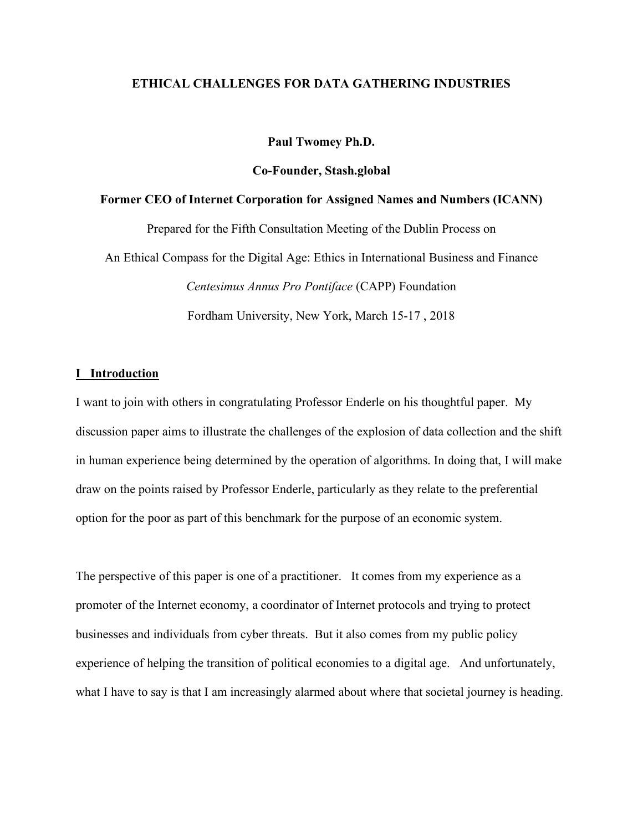### **ETHICAL CHALLENGES FOR DATA GATHERING INDUSTRIES**

**Paul Twomey Ph.D.**

### **Co-Founder, Stash.global**

### **Former CEO of Internet Corporation for Assigned Names and Numbers (ICANN)**

Prepared for the Fifth Consultation Meeting of the Dublin Process on

An Ethical Compass for the Digital Age: Ethics in International Business and Finance *Centesimus Annus Pro Pontiface* (CAPP) Foundation Fordham University, New York, March 15-17 , 2018

### **I Introduction**

I want to join with others in congratulating Professor Enderle on his thoughtful paper. My discussion paper aims to illustrate the challenges of the explosion of data collection and the shift in human experience being determined by the operation of algorithms. In doing that, I will make draw on the points raised by Professor Enderle, particularly as they relate to the preferential option for the poor as part of this benchmark for the purpose of an economic system.

The perspective of this paper is one of a practitioner. It comes from my experience as a promoter of the Internet economy, a coordinator of Internet protocols and trying to protect businesses and individuals from cyber threats. But it also comes from my public policy experience of helping the transition of political economies to a digital age. And unfortunately, what I have to say is that I am increasingly alarmed about where that societal journey is heading.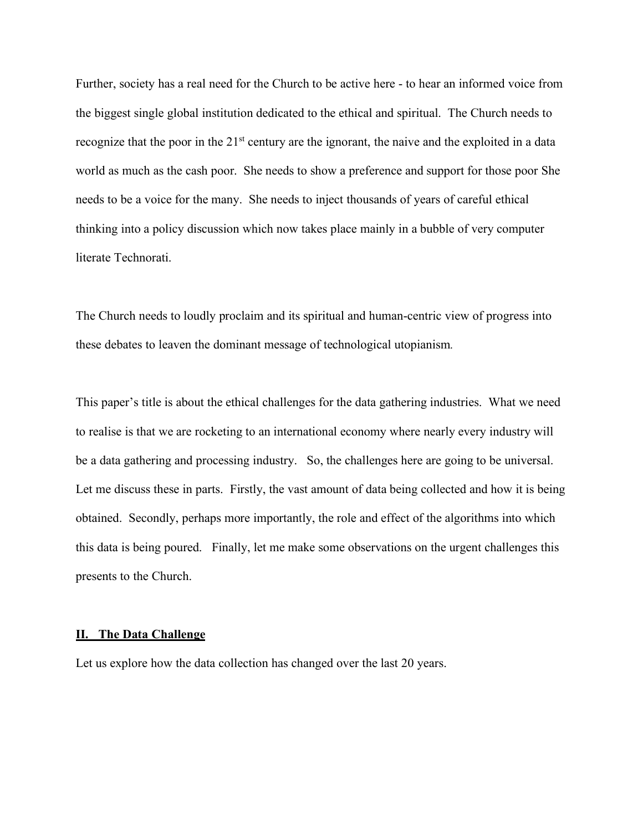Further, society has a real need for the Church to be active here - to hear an informed voice from the biggest single global institution dedicated to the ethical and spiritual. The Church needs to recognize that the poor in the 21<sup>st</sup> century are the ignorant, the naive and the exploited in a data world as much as the cash poor. She needs to show a preference and support for those poor She needs to be a voice for the many. She needs to inject thousands of years of careful ethical thinking into a policy discussion which now takes place mainly in a bubble of very computer literate Technorati.

The Church needs to loudly proclaim and its spiritual and human-centric view of progress into these debates to leaven the dominant message of technological utopianism*.*

This paper's title is about the ethical challenges for the data gathering industries. What we need to realise is that we are rocketing to an international economy where nearly every industry will be a data gathering and processing industry. So, the challenges here are going to be universal. Let me discuss these in parts. Firstly, the vast amount of data being collected and how it is being obtained. Secondly, perhaps more importantly, the role and effect of the algorithms into which this data is being poured. Finally, let me make some observations on the urgent challenges this presents to the Church.

### **II. The Data Challenge**

Let us explore how the data collection has changed over the last 20 years.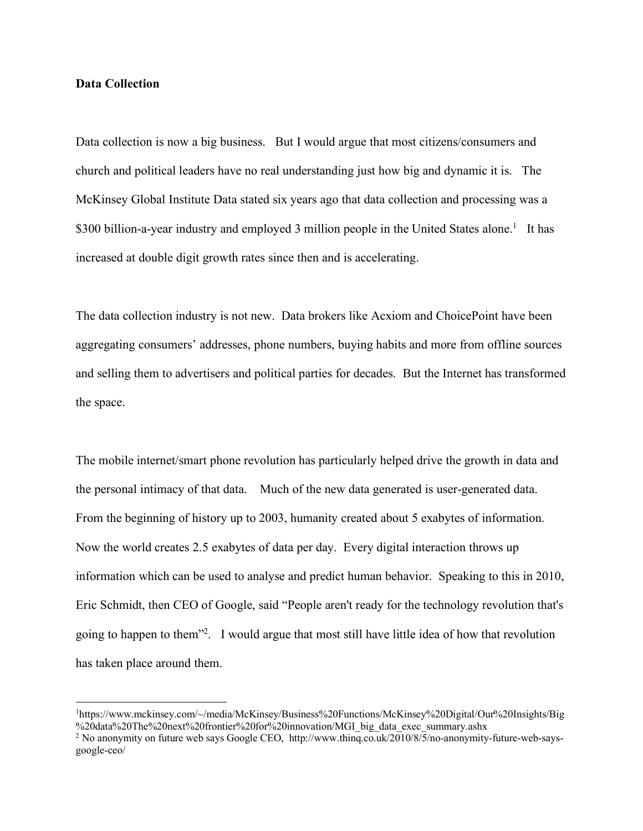### **Data Collection**

Data collection is now a big business. But I would argue that most citizens/consumers and church and political leaders have no real understanding just how big and dynamic it is. The McKinsey Global Institute Data stated six years ago that data collection and processing was a \$300 billion-a-year industry and employed 3 million people in the United States alone.<sup>1</sup> It has increased at double digit growth rates since then and is accelerating.

The data collection industry is not new. Data brokers like Acxiom and ChoicePoint have been aggregating consumers' addresses, phone numbers, buying habits and more from offline sources and selling them to advertisers and political parties for decades. But the Internet has transformed the space.

The mobile internet/smart phone revolution has particularly helped drive the growth in data and the personal intimacy of that data. Much of the new data generated is user-generated data. From the beginning of history up to 2003, humanity created about 5 exabytes of information. Now the world creates 2.5 exabytes of data per day. Every digital interaction throws up information which can be used to analyse and predict human behavior. Speaking to this in 2010, Eric Schmidt, then CEO of Google, said "People aren't ready for the technology revolution that's going to happen to them"2. I would argue that most still have little idea of how that revolution has taken place around them.

 $\frac{1}{1}$ https://www.mckinsey.com/~/media/McKinsey/Business%20Functions/McKinsey%20Digital/Our%20Insights/Big %20data%20The%20next%20frontier%20for%20innovation/MGI\_big\_data\_exec\_summary.ashx

<sup>2</sup> No anonymity on future web says Google CEO, http://www.thinq.co.uk/2010/8/5/no-anonymity-future-web-saysgoogle-ceo/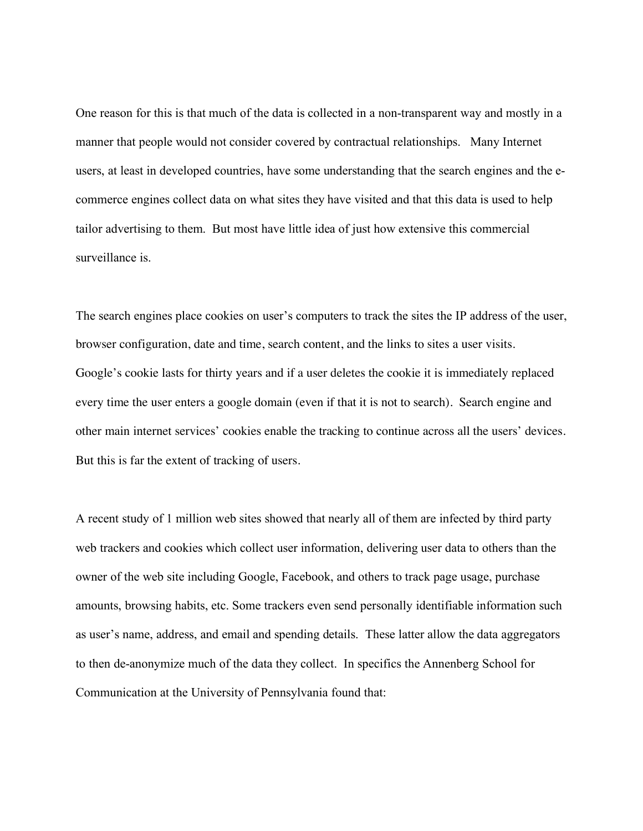One reason for this is that much of the data is collected in a non-transparent way and mostly in a manner that people would not consider covered by contractual relationships. Many Internet users, at least in developed countries, have some understanding that the search engines and the ecommerce engines collect data on what sites they have visited and that this data is used to help tailor advertising to them. But most have little idea of just how extensive this commercial surveillance is.

The search engines place cookies on user's computers to track the sites the IP address of the user, browser configuration, date and time, search content, and the links to sites a user visits. Google's cookie lasts for thirty years and if a user deletes the cookie it is immediately replaced every time the user enters a google domain (even if that it is not to search). Search engine and other main internet services' cookies enable the tracking to continue across all the users' devices. But this is far the extent of tracking of users.

A recent study of 1 million web sites showed that nearly all of them are infected by third party web trackers and cookies which collect user information, delivering user data to others than the owner of the web site including Google, Facebook, and others to track page usage, purchase amounts, browsing habits, etc. Some trackers even send personally identifiable information such as user's name, address, and email and spending details. These latter allow the data aggregators to then de-anonymize much of the data they collect. In specifics the Annenberg School for Communication at the University of Pennsylvania found that: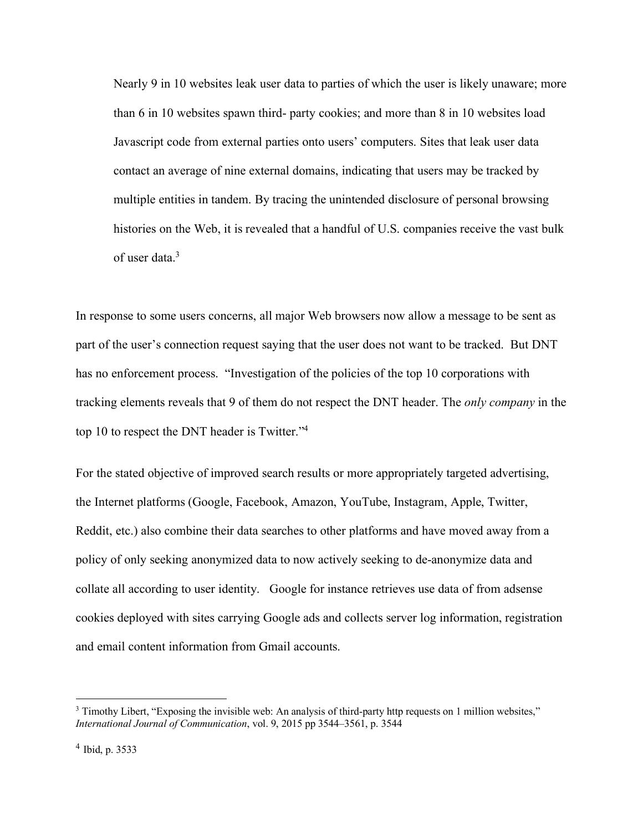Nearly 9 in 10 websites leak user data to parties of which the user is likely unaware; more than 6 in 10 websites spawn third- party cookies; and more than 8 in 10 websites load Javascript code from external parties onto users' computers. Sites that leak user data contact an average of nine external domains, indicating that users may be tracked by multiple entities in tandem. By tracing the unintended disclosure of personal browsing histories on the Web, it is revealed that a handful of U.S. companies receive the vast bulk of user data.3

In response to some users concerns, all major Web browsers now allow a message to be sent as part of the user's connection request saying that the user does not want to be tracked. But DNT has no enforcement process. "Investigation of the policies of the top 10 corporations with tracking elements reveals that 9 of them do not respect the DNT header. The *only company* in the top 10 to respect the DNT header is Twitter."4

For the stated objective of improved search results or more appropriately targeted advertising, the Internet platforms (Google, Facebook, Amazon, YouTube, Instagram, Apple, Twitter, Reddit, etc.) also combine their data searches to other platforms and have moved away from a policy of only seeking anonymized data to now actively seeking to de-anonymize data and collate all according to user identity. Google for instance retrieves use data of from adsense cookies deployed with sites carrying Google ads and collects server log information, registration and email content information from Gmail accounts.

<sup>&</sup>lt;sup>3</sup> Timothy Libert, "Exposing the invisible web: An analysis of third-party http requests on 1 million websites," *International Journal of Communication*, vol. 9, 2015 pp 3544–3561, p. 3544

<sup>4</sup> Ibid, p. 3533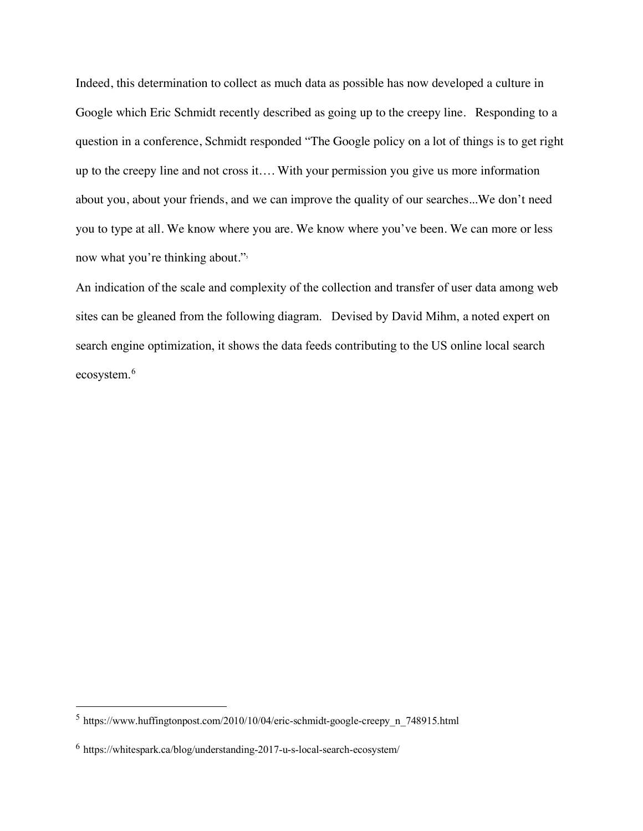Indeed, this determination to collect as much data as possible has now developed a culture in Google which Eric Schmidt recently described as going up to the creepy line. Responding to a question in a conference, Schmidt responded "The Google policy on a lot of things is to get right up to the creepy line and not cross it…. With your permission you give us more information about you, about your friends, and we can improve the quality of our searches...We don't need you to type at all. We know where you are. We know where you've been. We can more or less now what you're thinking about."<sup>5</sup>

An indication of the scale and complexity of the collection and transfer of user data among web sites can be gleaned from the following diagram. Devised by David Mihm, a noted expert on search engine optimization, it shows the data feeds contributing to the US online local search ecosystem. 6

 <sup>5</sup> https://www.huffingtonpost.com/2010/10/04/eric-schmidt-google-creepy\_n\_748915.html

<sup>6</sup> https://whitespark.ca/blog/understanding-2017-u-s-local-search-ecosystem/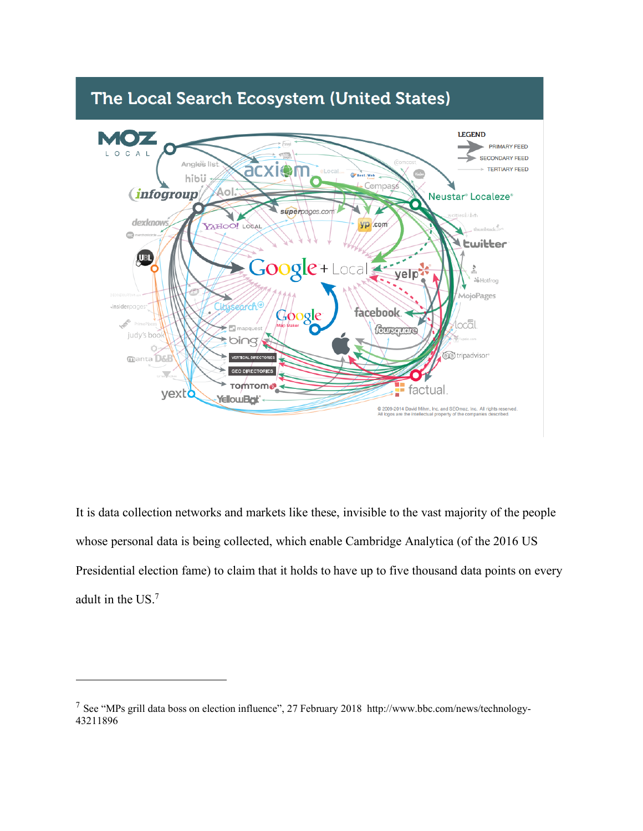

# The Local Search Ecosystem (United States)

It is data collection networks and markets like these, invisible to the vast majority of the people whose personal data is being collected, which enable Cambridge Analytica (of the 2016 US Presidential election fame) to claim that it holds to have up to five thousand data points on every adult in the US.7

<sup>7</sup> See "MPs grill data boss on election influence", 27 February 2018 http://www.bbc.com/news/technology-43211896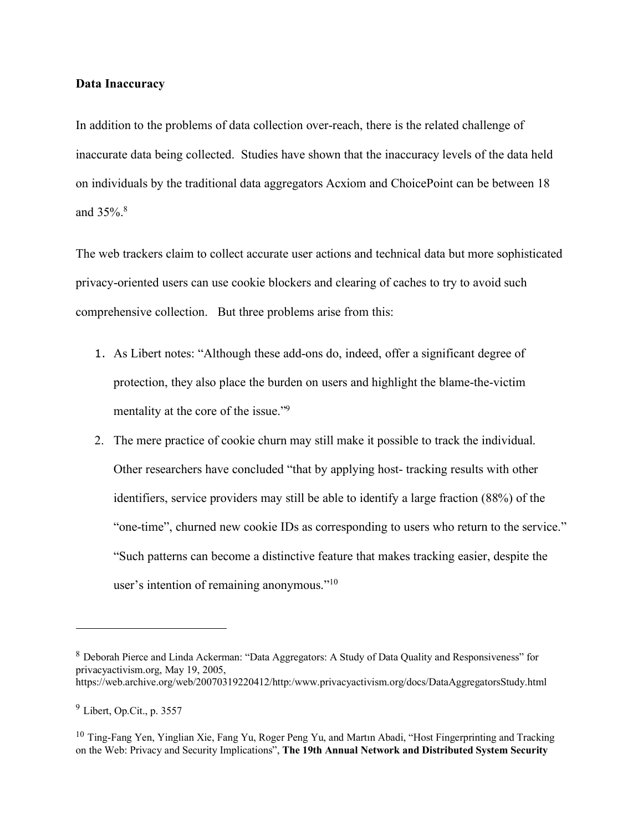## **Data Inaccuracy**

In addition to the problems of data collection over-reach, there is the related challenge of inaccurate data being collected. Studies have shown that the inaccuracy levels of the data held on individuals by the traditional data aggregators Acxiom and ChoicePoint can be between 18 and 35%.<sup>8</sup>

The web trackers claim to collect accurate user actions and technical data but more sophisticated privacy-oriented users can use cookie blockers and clearing of caches to try to avoid such comprehensive collection. But three problems arise from this:

- 1. As Libert notes: "Although these add-ons do, indeed, offer a significant degree of protection, they also place the burden on users and highlight the blame-the-victim mentality at the core of the issue."9
- 2. The mere practice of cookie churn may still make it possible to track the individual. Other researchers have concluded "that by applying host- tracking results with other identifiers, service providers may still be able to identify a large fraction (88%) of the "one-time", churned new cookie IDs as corresponding to users who return to the service." "Such patterns can become a distinctive feature that makes tracking easier, despite the user's intention of remaining anonymous."10

<sup>8</sup> Deborah Pierce and Linda Ackerman: "Data Aggregators: A Study of Data Quality and Responsiveness" for privacyactivism.org, May 19, 2005, https://web.archive.org/web/20070319220412/http:/www.privacyactivism.org/docs/DataAggregatorsStudy.html

<sup>9</sup> Libert, Op.Cit., p. 3557

<sup>&</sup>lt;sup>10</sup> Ting-Fang Yen, Yinglian Xie, Fang Yu, Roger Peng Yu, and Martin Abadi, "Host Fingerprinting and Tracking on the Web: Privacy and Security Implications", **The 19th Annual Network and Distributed System Security**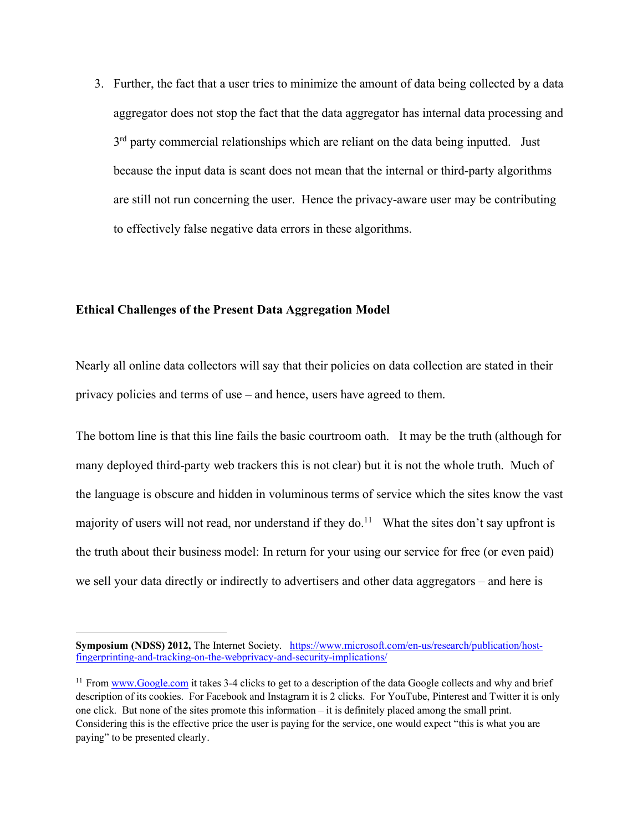3. Further, the fact that a user tries to minimize the amount of data being collected by a data aggregator does not stop the fact that the data aggregator has internal data processing and  $3<sup>rd</sup>$  party commercial relationships which are reliant on the data being inputted. Just because the input data is scant does not mean that the internal or third-party algorithms are still not run concerning the user. Hence the privacy-aware user may be contributing to effectively false negative data errors in these algorithms.

## **Ethical Challenges of the Present Data Aggregation Model**

 $\overline{a}$ 

Nearly all online data collectors will say that their policies on data collection are stated in their privacy policies and terms of use – and hence, users have agreed to them.

The bottom line is that this line fails the basic courtroom oath. It may be the truth (although for many deployed third-party web trackers this is not clear) but it is not the whole truth. Much of the language is obscure and hidden in voluminous terms of service which the sites know the vast majority of users will not read, nor understand if they do.<sup>11</sup> What the sites don't say upfront is the truth about their business model: In return for your using our service for free (or even paid) we sell your data directly or indirectly to advertisers and other data aggregators – and here is

**Symposium (NDSS) 2012,** The Internet Society. https://www.microsoft.com/en-us/research/publication/hostfingerprinting-and-tracking-on-the-webprivacy-and-security-implications/

<sup>&</sup>lt;sup>11</sup> From www.Google.com it takes 3-4 clicks to get to a description of the data Google collects and why and brief description of its cookies. For Facebook and Instagram it is 2 clicks. For YouTube, Pinterest and Twitter it is only one click. But none of the sites promote this information – it is definitely placed among the small print. Considering this is the effective price the user is paying for the service, one would expect "this is what you are paying" to be presented clearly.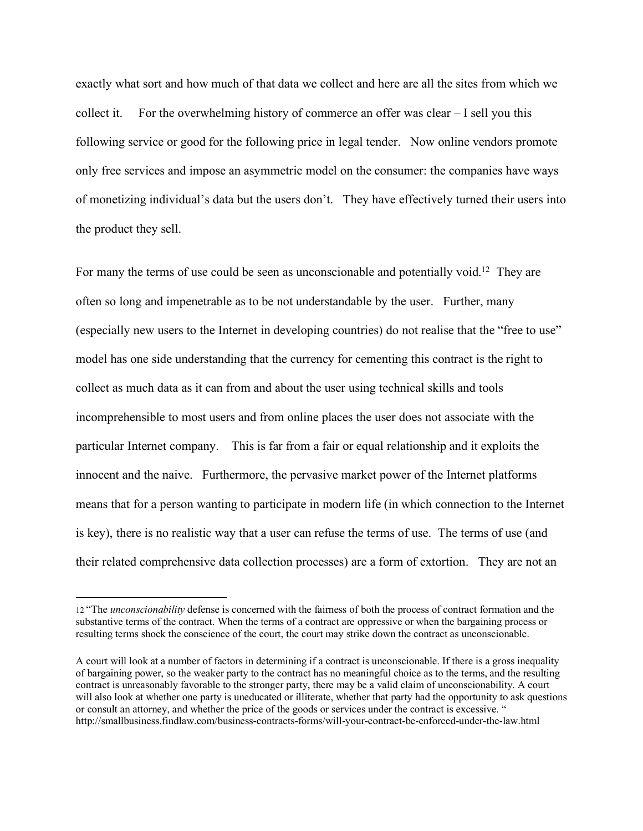exactly what sort and how much of that data we collect and here are all the sites from which we collect it. For the overwhelming history of commerce an offer was clear – I sell you this following service or good for the following price in legal tender. Now online vendors promote only free services and impose an asymmetric model on the consumer: the companies have ways of monetizing individual's data but the users don't. They have effectively turned their users into the product they sell.

For many the terms of use could be seen as unconscionable and potentially void.<sup>12</sup> They are often so long and impenetrable as to be not understandable by the user. Further, many (especially new users to the Internet in developing countries) do not realise that the "free to use" model has one side understanding that the currency for cementing this contract is the right to collect as much data as it can from and about the user using technical skills and tools incomprehensible to most users and from online places the user does not associate with the particular Internet company. This is far from a fair or equal relationship and it exploits the innocent and the naive. Furthermore, the pervasive market power of the Internet platforms means that for a person wanting to participate in modern life (in which connection to the Internet is key), there is no realistic way that a user can refuse the terms of use. The terms of use (and their related comprehensive data collection processes) are a form of extortion. They are not an

<sup>12</sup> "The *unconscionability* defense is concerned with the fairness of both the process of contract formation and the substantive terms of the contract. When the terms of a contract are oppressive or when the bargaining process or resulting terms shock the conscience of the court, the court may strike down the contract as unconscionable.

A court will look at a number of factors in determining if a contract is unconscionable. If there is a gross inequality of bargaining power, so the weaker party to the contract has no meaningful choice as to the terms, and the resulting contract is unreasonably favorable to the stronger party, there may be a valid claim of unconscionability. A court will also look at whether one party is uneducated or illiterate, whether that party had the opportunity to ask questions or consult an attorney, and whether the price of the goods or services under the contract is excessive. " http://smallbusiness.findlaw.com/business-contracts-forms/will-your-contract-be-enforced-under-the-law.html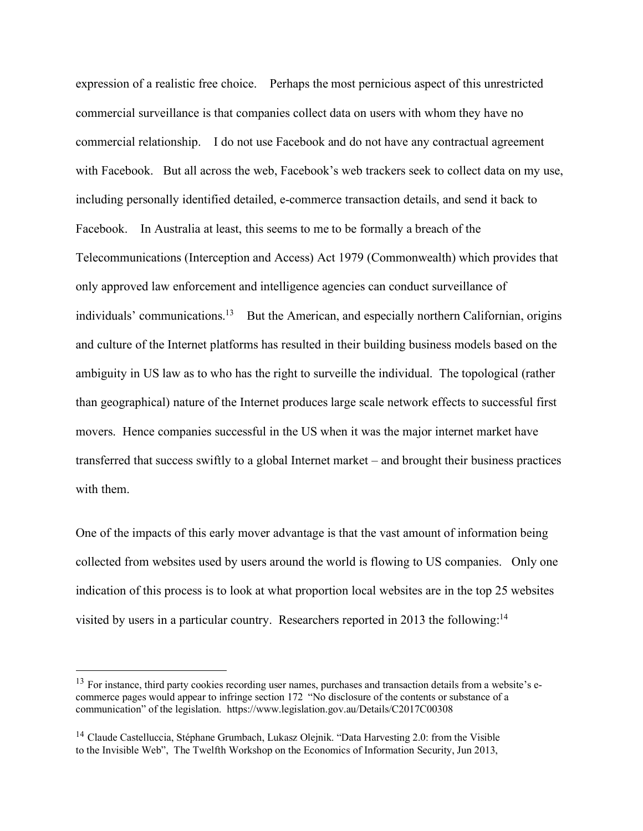expression of a realistic free choice. Perhaps the most pernicious aspect of this unrestricted commercial surveillance is that companies collect data on users with whom they have no commercial relationship. I do not use Facebook and do not have any contractual agreement with Facebook. But all across the web, Facebook's web trackers seek to collect data on my use, including personally identified detailed, e-commerce transaction details, and send it back to Facebook. In Australia at least, this seems to me to be formally a breach of the Telecommunications (Interception and Access) Act 1979 (Commonwealth) which provides that only approved law enforcement and intelligence agencies can conduct surveillance of individuals' communications.<sup>13</sup> But the American, and especially northern Californian, origins and culture of the Internet platforms has resulted in their building business models based on the ambiguity in US law as to who has the right to surveille the individual. The topological (rather than geographical) nature of the Internet produces large scale network effects to successful first movers. Hence companies successful in the US when it was the major internet market have transferred that success swiftly to a global Internet market – and brought their business practices with them.

One of the impacts of this early mover advantage is that the vast amount of information being collected from websites used by users around the world is flowing to US companies. Only one indication of this process is to look at what proportion local websites are in the top 25 websites visited by users in a particular country. Researchers reported in 2013 the following:<sup>14</sup>

 $13$  For instance, third party cookies recording user names, purchases and transaction details from a website's ecommerce pages would appear to infringe section 172 "No disclosure of the contents or substance of a communication" of the legislation. https://www.legislation.gov.au/Details/C2017C00308

<sup>&</sup>lt;sup>14</sup> Claude Castelluccia, Stéphane Grumbach, Lukasz Olejnik. "Data Harvesting 2.0: from the Visible to the Invisible Web", The Twelfth Workshop on the Economics of Information Security, Jun 2013,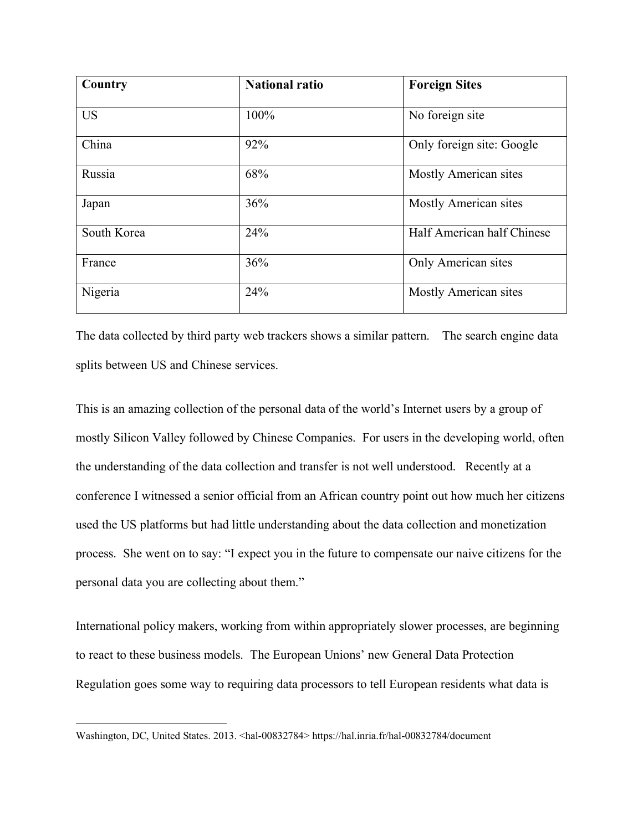| Country     | <b>National ratio</b> | <b>Foreign Sites</b>         |
|-------------|-----------------------|------------------------------|
| <b>US</b>   | 100%                  | No foreign site              |
| China       | 92%                   | Only foreign site: Google    |
| Russia      | 68%                   | <b>Mostly American sites</b> |
| Japan       | 36%                   | Mostly American sites        |
| South Korea | 24%                   | Half American half Chinese   |
| France      | 36%                   | Only American sites          |
| Nigeria     | 24%                   | <b>Mostly American sites</b> |

The data collected by third party web trackers shows a similar pattern. The search engine data splits between US and Chinese services.

This is an amazing collection of the personal data of the world's Internet users by a group of mostly Silicon Valley followed by Chinese Companies. For users in the developing world, often the understanding of the data collection and transfer is not well understood. Recently at a conference I witnessed a senior official from an African country point out how much her citizens used the US platforms but had little understanding about the data collection and monetization process. She went on to say: "I expect you in the future to compensate our naive citizens for the personal data you are collecting about them."

International policy makers, working from within appropriately slower processes, are beginning to react to these business models. The European Unions' new General Data Protection Regulation goes some way to requiring data processors to tell European residents what data is

Washington, DC, United States. 2013. <hal-00832784> https://hal.inria.fr/hal-00832784/document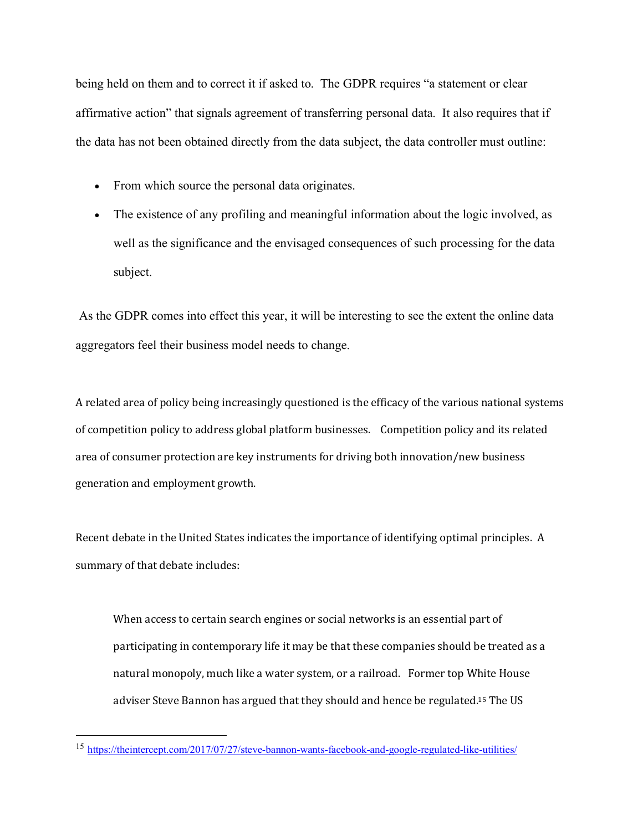being held on them and to correct it if asked to. The GDPR requires "a statement or clear affirmative action" that signals agreement of transferring personal data. It also requires that if the data has not been obtained directly from the data subject, the data controller must outline:

- From which source the personal data originates.
- The existence of any profiling and meaningful information about the logic involved, as well as the significance and the envisaged consequences of such processing for the data subject.

As the GDPR comes into effect this year, it will be interesting to see the extent the online data aggregators feel their business model needs to change.

A related area of policy being increasingly questioned is the efficacy of the various national systems of competition policy to address global platform businesses. Competition policy and its related area of consumer protection are key instruments for driving both innovation/new business generation and employment growth.

Recent debate in the United States indicates the importance of identifying optimal principles. A summary of that debate includes:

When access to certain search engines or social networks is an essential part of participating in contemporary life it may be that these companies should be treated as a natural monopoly, much like a water system, or a railroad. Former top White House adviser Steve Bannon has argued that they should and hence be regulated.<sup>15</sup> The US

 <sup>15</sup> https://theintercept.com/2017/07/27/steve-bannon-wants-facebook-and-google-regulated-like-utilities/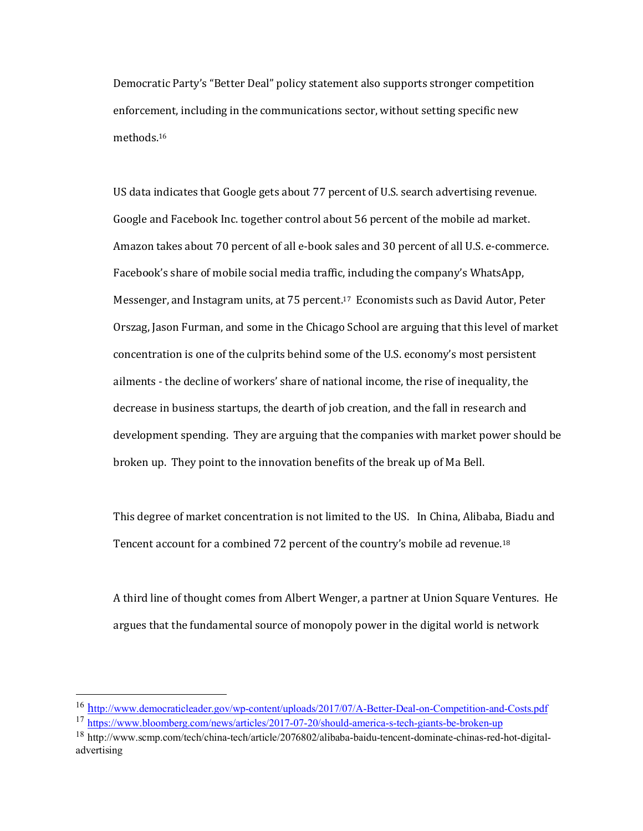Democratic Party's "Better Deal" policy statement also supports stronger competition enforcement, including in the communications sector, without setting specific new methods.16

US data indicates that Google gets about 77 percent of U.S. search advertising revenue. Google and Facebook Inc. together control about 56 percent of the mobile ad market. Amazon takes about 70 percent of all e-book sales and 30 percent of all U.S. e-commerce. Facebook's share of mobile social media traffic, including the company's WhatsApp, Messenger, and Instagram units, at 75 percent.<sup>17</sup> Economists such as David Autor, Peter Orszag, Jason Furman, and some in the Chicago School are arguing that this level of market concentration is one of the culprits behind some of the U.S. economy's most persistent ailments - the decline of workers' share of national income, the rise of inequality, the decrease in business startups, the dearth of job creation, and the fall in research and development spending. They are arguing that the companies with market power should be broken up. They point to the innovation benefits of the break up of Ma Bell.

This degree of market concentration is not limited to the US. In China, Alibaba, Biadu and Tencent account for a combined 72 percent of the country's mobile ad revenue.<sup>18</sup>

A third line of thought comes from Albert Wenger, a partner at Union Square Ventures. He argues that the fundamental source of monopoly power in the digital world is network

 <sup>16</sup> http://www.democraticleader.gov/wp-content/uploads/2017/07/A-Better-Deal-on-Competition-and-Costs.pdf <sup>17</sup> https://www.bloomberg.com/news/articles/2017-07-20/should-america-s-tech-giants-be-broken-up

<sup>18</sup> http://www.scmp.com/tech/china-tech/article/2076802/alibaba-baidu-tencent-dominate-chinas-red-hot-digitaladvertising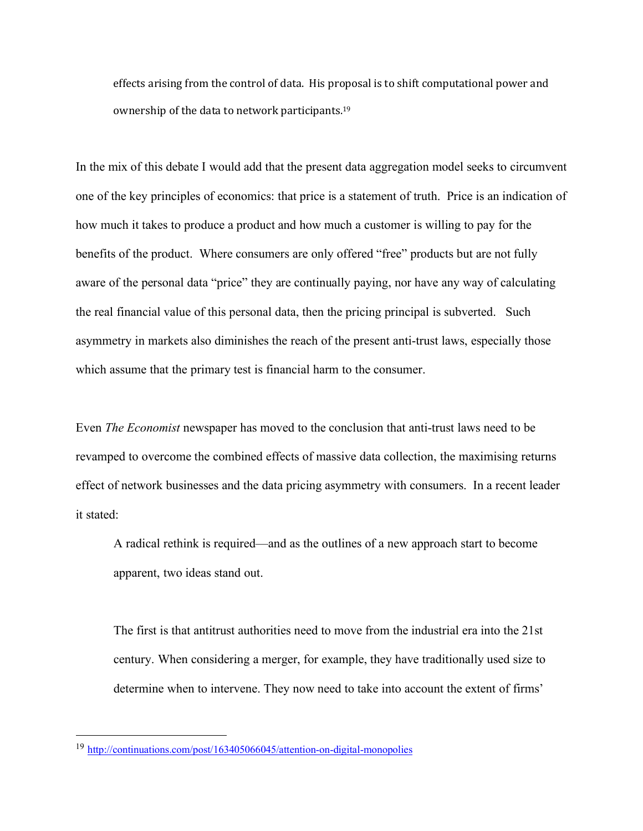effects arising from the control of data. His proposal is to shift computational power and ownership of the data to network participants.<sup>19</sup>

In the mix of this debate I would add that the present data aggregation model seeks to circumvent one of the key principles of economics: that price is a statement of truth. Price is an indication of how much it takes to produce a product and how much a customer is willing to pay for the benefits of the product. Where consumers are only offered "free" products but are not fully aware of the personal data "price" they are continually paying, nor have any way of calculating the real financial value of this personal data, then the pricing principal is subverted. Such asymmetry in markets also diminishes the reach of the present anti-trust laws, especially those which assume that the primary test is financial harm to the consumer.

Even *The Economist* newspaper has moved to the conclusion that anti-trust laws need to be revamped to overcome the combined effects of massive data collection, the maximising returns effect of network businesses and the data pricing asymmetry with consumers. In a recent leader it stated:

A radical rethink is required—and as the outlines of a new approach start to become apparent, two ideas stand out.

The first is that antitrust authorities need to move from the industrial era into the 21st century. When considering a merger, for example, they have traditionally used size to determine when to intervene. They now need to take into account the extent of firms'

 <sup>19</sup> http://continuations.com/post/163405066045/attention-on-digital-monopolies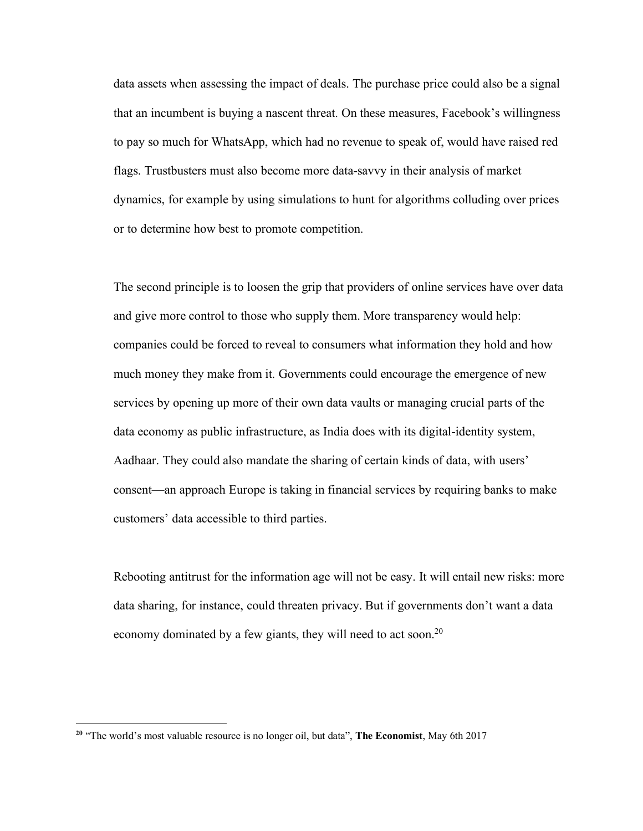data assets when assessing the impact of deals. The purchase price could also be a signal that an incumbent is buying a nascent threat. On these measures, Facebook's willingness to pay so much for WhatsApp, which had no revenue to speak of, would have raised red flags. Trustbusters must also become more data-savvy in their analysis of market dynamics, for example by using simulations to hunt for algorithms colluding over prices or to determine how best to promote competition.

The second principle is to loosen the grip that providers of online services have over data and give more control to those who supply them. More transparency would help: companies could be forced to reveal to consumers what information they hold and how much money they make from it. Governments could encourage the emergence of new services by opening up more of their own data vaults or managing crucial parts of the data economy as public infrastructure, as India does with its digital-identity system, Aadhaar. They could also mandate the sharing of certain kinds of data, with users' consent—an approach Europe is taking in financial services by requiring banks to make customers' data accessible to third parties.

Rebooting antitrust for the information age will not be easy. It will entail new risks: more data sharing, for instance, could threaten privacy. But if governments don't want a data economy dominated by a few giants, they will need to act soon.<sup>20</sup>

**<sup>20</sup>** "The world's most valuable resource is no longer oil, but data", **The Economist**, May 6th 2017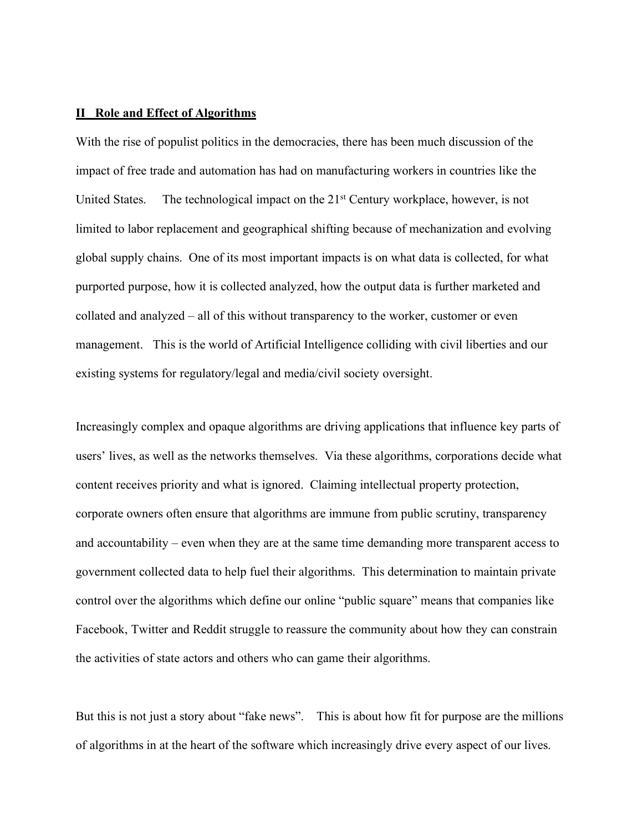#### **II Role and Effect of Algorithms**

With the rise of populist politics in the democracies, there has been much discussion of the impact of free trade and automation has had on manufacturing workers in countries like the United States. The technological impact on the 21<sup>st</sup> Century workplace, however, is not limited to labor replacement and geographical shifting because of mechanization and evolving global supply chains. One of its most important impacts is on what data is collected, for what purported purpose, how it is collected analyzed, how the output data is further marketed and collated and analyzed – all of this without transparency to the worker, customer or even management. This is the world of Artificial Intelligence colliding with civil liberties and our existing systems for regulatory/legal and media/civil society oversight.

Increasingly complex and opaque algorithms are driving applications that influence key parts of users' lives, as well as the networks themselves. Via these algorithms, corporations decide what content receives priority and what is ignored. Claiming intellectual property protection, corporate owners often ensure that algorithms are immune from public scrutiny, transparency and accountability – even when they are at the same time demanding more transparent access to government collected data to help fuel their algorithms. This determination to maintain private control over the algorithms which define our online "public square" means that companies like Facebook, Twitter and Reddit struggle to reassure the community about how they can constrain the activities of state actors and others who can game their algorithms.

But this is not just a story about "fake news". This is about how fit for purpose are the millions of algorithms in at the heart of the software which increasingly drive every aspect of our lives.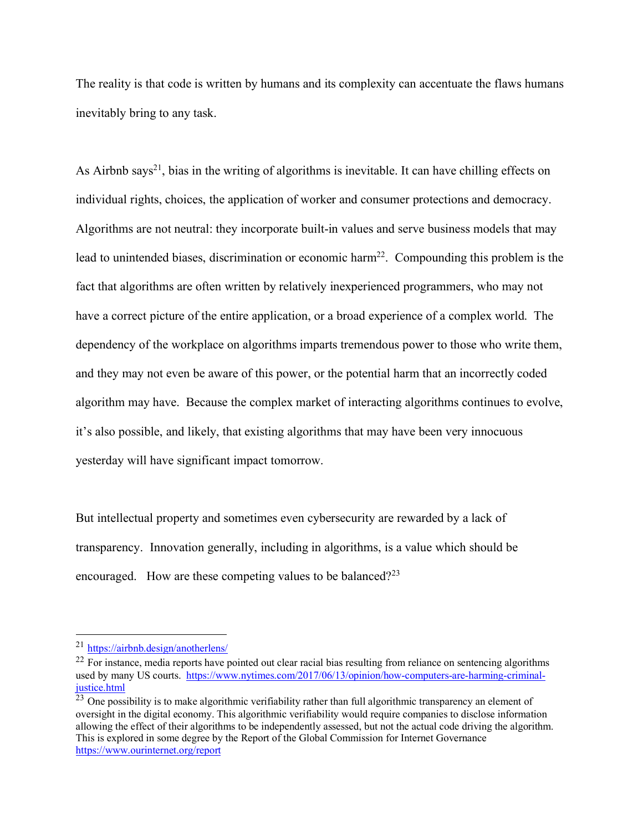The reality is that code is written by humans and its complexity can accentuate the flaws humans inevitably bring to any task.

As Airbnb says<sup>21</sup>, bias in the writing of algorithms is inevitable. It can have chilling effects on individual rights, choices, the application of worker and consumer protections and democracy. Algorithms are not neutral: they incorporate built-in values and serve business models that may lead to unintended biases, discrimination or economic harm<sup>22</sup>. Compounding this problem is the fact that algorithms are often written by relatively inexperienced programmers, who may not have a correct picture of the entire application, or a broad experience of a complex world. The dependency of the workplace on algorithms imparts tremendous power to those who write them, and they may not even be aware of this power, or the potential harm that an incorrectly coded algorithm may have. Because the complex market of interacting algorithms continues to evolve, it's also possible, and likely, that existing algorithms that may have been very innocuous yesterday will have significant impact tomorrow.

But intellectual property and sometimes even cybersecurity are rewarded by a lack of transparency. Innovation generally, including in algorithms, is a value which should be encouraged. How are these competing values to be balanced? $2^{23}$ 

 <sup>21</sup> https://airbnb.design/anotherlens/

 $^{22}$  For instance, media reports have pointed out clear racial bias resulting from reliance on sentencing algorithms used by many US courts. https://www.nytimes.com/2017/06/13/opinion/how-computers-are-harming-criminaljustice.html

 $23$  One possibility is to make algorithmic verifiability rather than full algorithmic transparency an element of oversight in the digital economy. This algorithmic verifiability would require companies to disclose information allowing the effect of their algorithms to be independently assessed, but not the actual code driving the algorithm. This is explored in some degree by the Report of the Global Commission for Internet Governance https://www.ourinternet.org/report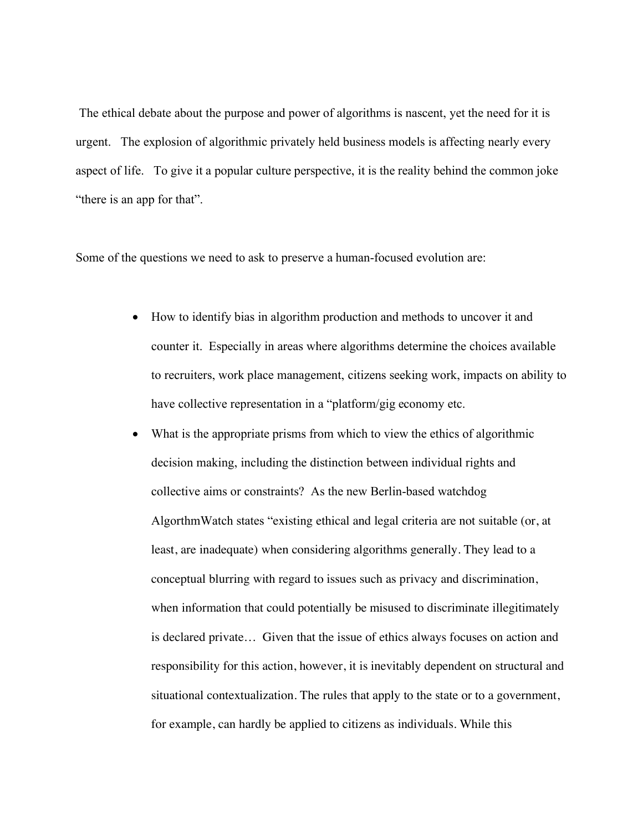The ethical debate about the purpose and power of algorithms is nascent, yet the need for it is urgent. The explosion of algorithmic privately held business models is affecting nearly every aspect of life. To give it a popular culture perspective, it is the reality behind the common joke "there is an app for that".

Some of the questions we need to ask to preserve a human-focused evolution are:

- How to identify bias in algorithm production and methods to uncover it and counter it. Especially in areas where algorithms determine the choices available to recruiters, work place management, citizens seeking work, impacts on ability to have collective representation in a "platform/gig economy etc.
- What is the appropriate prisms from which to view the ethics of algorithmic decision making, including the distinction between individual rights and collective aims or constraints? As the new Berlin-based watchdog AlgorthmWatch states "existing ethical and legal criteria are not suitable (or, at least, are inadequate) when considering algorithms generally. They lead to a conceptual blurring with regard to issues such as privacy and discrimination, when information that could potentially be misused to discriminate illegitimately is declared private… Given that the issue of ethics always focuses on action and responsibility for this action, however, it is inevitably dependent on structural and situational contextualization. The rules that apply to the state or to a government, for example, can hardly be applied to citizens as individuals. While this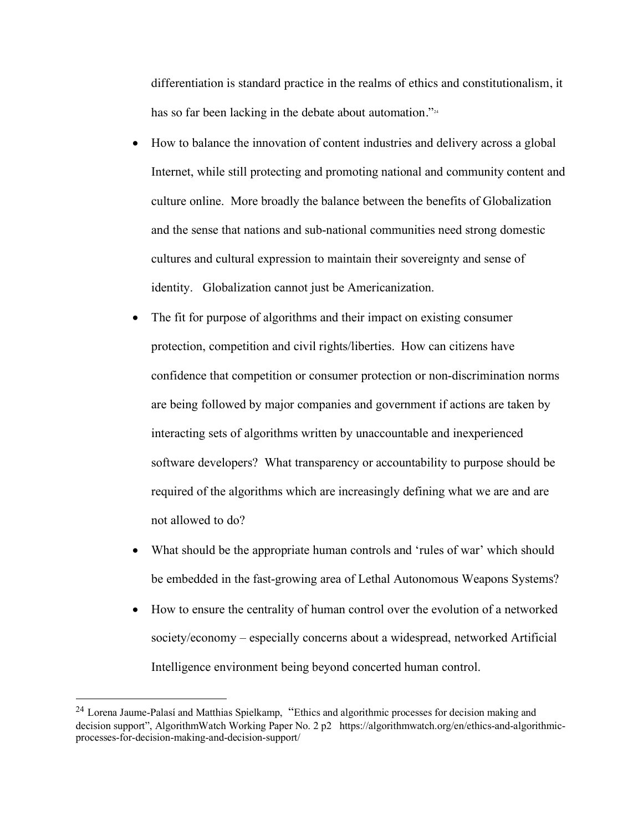differentiation is standard practice in the realms of ethics and constitutionalism, it has so far been lacking in the debate about automation."<sup>24</sup>

- How to balance the innovation of content industries and delivery across a global Internet, while still protecting and promoting national and community content and culture online. More broadly the balance between the benefits of Globalization and the sense that nations and sub-national communities need strong domestic cultures and cultural expression to maintain their sovereignty and sense of identity. Globalization cannot just be Americanization.
- The fit for purpose of algorithms and their impact on existing consumer protection, competition and civil rights/liberties. How can citizens have confidence that competition or consumer protection or non-discrimination norms are being followed by major companies and government if actions are taken by interacting sets of algorithms written by unaccountable and inexperienced software developers? What transparency or accountability to purpose should be required of the algorithms which are increasingly defining what we are and are not allowed to do?
- What should be the appropriate human controls and 'rules of war' which should be embedded in the fast-growing area of Lethal Autonomous Weapons Systems?
- How to ensure the centrality of human control over the evolution of a networked society/economy – especially concerns about a widespread, networked Artificial Intelligence environment being beyond concerted human control.

 <sup>24</sup> Lorena Jaume-Palasí and Matthias Spielkamp, "Ethics and algorithmic processes for decision making and decision support", AlgorithmWatch Working Paper No. 2 p2 https://algorithmwatch.org/en/ethics-and-algorithmicprocesses-for-decision-making-and-decision-support/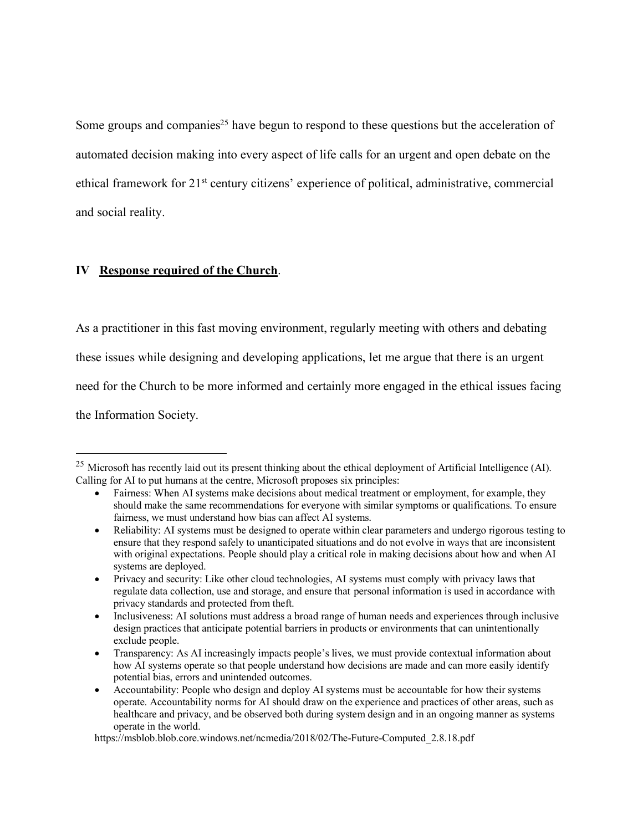Some groups and companies<sup>25</sup> have begun to respond to these questions but the acceleration of automated decision making into every aspect of life calls for an urgent and open debate on the ethical framework for 21st century citizens' experience of political, administrative, commercial and social reality.

## **IV Response required of the Church**.

As a practitioner in this fast moving environment, regularly meeting with others and debating

these issues while designing and developing applications, let me argue that there is an urgent

need for the Church to be more informed and certainly more engaged in the ethical issues facing

the Information Society.

 $^{25}$  Microsoft has recently laid out its present thinking about the ethical deployment of Artificial Intelligence (AI). Calling for AI to put humans at the centre, Microsoft proposes six principles:

<sup>•</sup> Fairness: When AI systems make decisions about medical treatment or employment, for example, they should make the same recommendations for everyone with similar symptoms or qualifications. To ensure fairness, we must understand how bias can affect AI systems.

<sup>•</sup> Reliability: AI systems must be designed to operate within clear parameters and undergo rigorous testing to ensure that they respond safely to unanticipated situations and do not evolve in ways that are inconsistent with original expectations. People should play a critical role in making decisions about how and when AI systems are deployed.

<sup>•</sup> Privacy and security: Like other cloud technologies, AI systems must comply with privacy laws that regulate data collection, use and storage, and ensure that personal information is used in accordance with privacy standards and protected from theft.

<sup>•</sup> Inclusiveness: AI solutions must address a broad range of human needs and experiences through inclusive design practices that anticipate potential barriers in products or environments that can unintentionally exclude people.

<sup>•</sup> Transparency: As AI increasingly impacts people's lives, we must provide contextual information about how AI systems operate so that people understand how decisions are made and can more easily identify potential bias, errors and unintended outcomes.

<sup>•</sup> Accountability: People who design and deploy AI systems must be accountable for how their systems operate. Accountability norms for AI should draw on the experience and practices of other areas, such as healthcare and privacy, and be observed both during system design and in an ongoing manner as systems operate in the world.

https://msblob.blob.core.windows.net/ncmedia/2018/02/The-Future-Computed\_2.8.18.pdf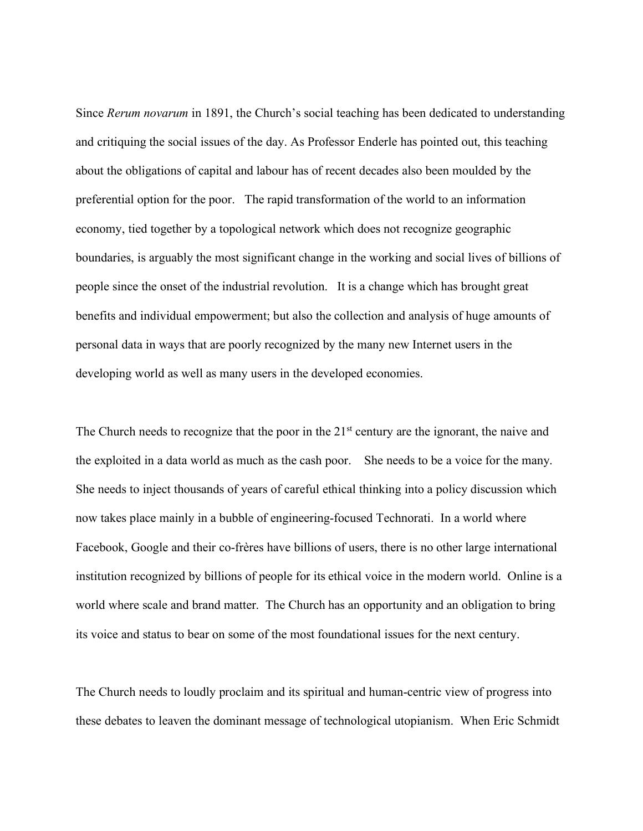Since *Rerum novarum* in 1891, the Church's social teaching has been dedicated to understanding and critiquing the social issues of the day. As Professor Enderle has pointed out, this teaching about the obligations of capital and labour has of recent decades also been moulded by the preferential option for the poor. The rapid transformation of the world to an information economy, tied together by a topological network which does not recognize geographic boundaries, is arguably the most significant change in the working and social lives of billions of people since the onset of the industrial revolution. It is a change which has brought great benefits and individual empowerment; but also the collection and analysis of huge amounts of personal data in ways that are poorly recognized by the many new Internet users in the developing world as well as many users in the developed economies.

The Church needs to recognize that the poor in the 21<sup>st</sup> century are the ignorant, the naive and the exploited in a data world as much as the cash poor. She needs to be a voice for the many. She needs to inject thousands of years of careful ethical thinking into a policy discussion which now takes place mainly in a bubble of engineering-focused Technorati. In a world where Facebook, Google and their co-frères have billions of users, there is no other large international institution recognized by billions of people for its ethical voice in the modern world. Online is a world where scale and brand matter. The Church has an opportunity and an obligation to bring its voice and status to bear on some of the most foundational issues for the next century.

The Church needs to loudly proclaim and its spiritual and human-centric view of progress into these debates to leaven the dominant message of technological utopianism. When Eric Schmidt